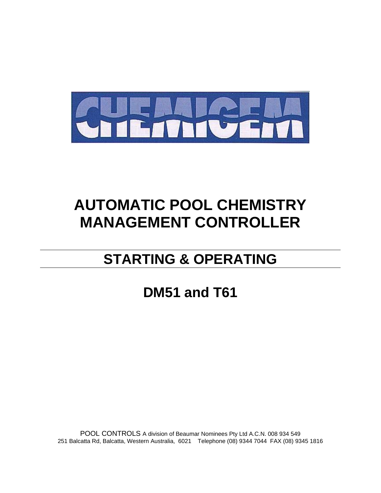

# **AUTOMATIC POOL CHEMISTRY MANAGEMENT CONTROLLER**

# **STARTING & OPERATING**

**DM51 and T61**

POOL CONTROLS A division of Beaumar Nominees Pty Ltd A.C.N. 008 934 549 251 Balcatta Rd, Balcatta, Western Australia, 6021 Telephone (08) 9344 7044 FAX (08) 9345 1816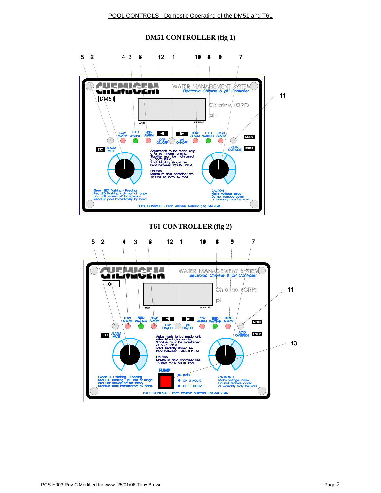

#### **DM51 CONTROLLER (fig 1)**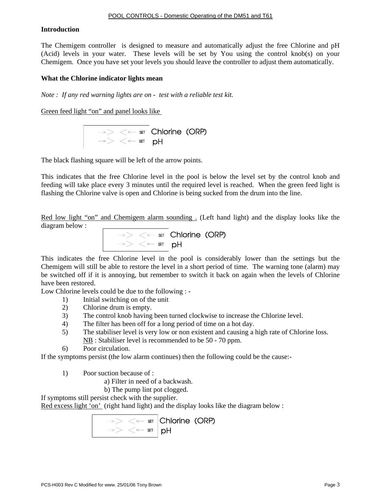#### **Introduction**

The Chemigem controller is designed to measure and automatically adjust the free Chlorine and pH (Acid) levels in your water. These levels will be set by You using the control knob(s) on your Chemigem. Once you have set your levels you should leave the controller to adjust them automatically.

#### **What the Chlorine indicator lights mean**

*Note : If any red warning lights are on - test with a reliable test kit.* 

Green feed light "on" and panel looks like



The black flashing square will be left of the arrow points.

This indicates that the free Chlorine level in the pool is below the level set by the control knob and feeding will take place every 3 minutes until the required level is reached. When the green feed light is flashing the Chlorine valve is open and Chlorine is being sucked from the drum into the line.

Red low light "on" and Chemigem alarm sounding . (Left hand light) and the display looks like the diagram below :



This indicates the free Chlorine level in the pool is considerably lower than the settings but the Chemigem will still be able to restore the level in a short period of time. The warning tone (alarm) may be switched off if it is annoying, but remember to switch it back on again when the levels of Chlorine have been restored.

Low Chlorine levels could be due to the following : -

- 1) Initial switching on of the unit
- 2) Chlorine drum is empty.
- 3) The control knob having been turned clockwise to increase the Chlorine level.
- 4) The filter has been off for a long period of time on a hot day.
- 5) The stabiliser level is very low or non existent and causing a high rate of Chlorine loss. NB : Stabiliser level is recommended to be 50 - 70 ppm.
- 6) Poor circulation.

If the symptoms persist (the low alarm continues) then the following could be the cause:-

1) Poor suction because of :

- a) Filter in need of a backwash.
- b) The pump lint pot clogged.

If symptoms still persist check with the supplier.

Red excess light 'on' (right hand light) and the display looks like the diagram below :

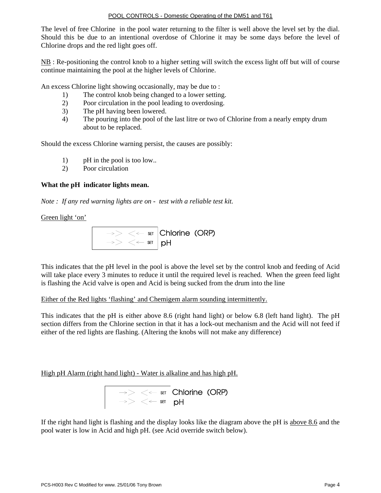The level of free Chlorine in the pool water returning to the filter is well above the level set by the dial. Should this be due to an intentional overdose of Chlorine it may be some days before the level of Chlorine drops and the red light goes off.

NB : Re-positioning the control knob to a higher setting will switch the excess light off but will of course continue maintaining the pool at the higher levels of Chlorine.

An excess Chlorine light showing occasionally, may be due to :

- 1) The control knob being changed to a lower setting.
- 2) Poor circulation in the pool leading to overdosing.
- 3) The pH having been lowered.
- 4) The pouring into the pool of the last litre or two of Chlorine from a nearly empty drum about to be replaced.

Should the excess Chlorine warning persist, the causes are possibly:

- 1) pH in the pool is too low..
- 2) Poor circulation

#### **What the pH indicator lights mean.**

*Note : If any red warning lights are on - test with a reliable test kit.* 

Green light 'on'



This indicates that the pH level in the pool is above the level set by the control knob and feeding of Acid will take place every 3 minutes to reduce it until the required level is reached. When the green feed light is flashing the Acid valve is open and Acid is being sucked from the drum into the line

Either of the Red lights 'flashing' and Chemigem alarm sounding intermittently.

This indicates that the pH is either above 8.6 (right hand light) or below 6.8 (left hand light). The pH section differs from the Chlorine section in that it has a lock-out mechanism and the Acid will not feed if either of the red lights are flashing. (Altering the knobs will not make any difference)

High pH Alarm (right hand light) - Water is alkaline and has high pH.



If the right hand light is flashing and the display looks like the diagram above the pH is above 8.6 and the pool water is low in Acid and high pH. (see Acid override switch below).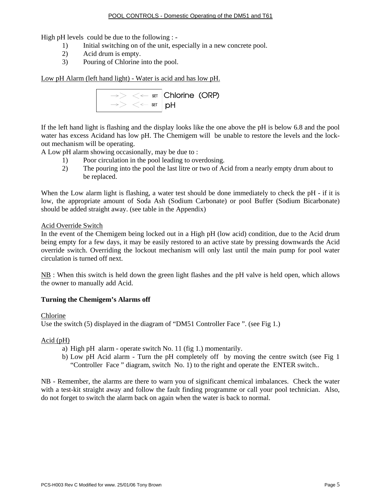High pH levels could be due to the following : -

- 1) Initial switching on of the unit, especially in a new concrete pool.
- 2) Acid drum is empty.
- 3) Pouring of Chlorine into the pool.

Low pH Alarm (left hand light) - Water is acid and has low pH.



If the left hand light is flashing and the display looks like the one above the pH is below 6.8 and the pool water has excess Acidand has low pH. The Chemigem will be unable to restore the levels and the lockout mechanism will be operating.

A Low pH alarm showing occasionally, may be due to :

- 1) Poor circulation in the pool leading to overdosing.
- 2) The pouring into the pool the last litre or two of Acid from a nearly empty drum about to be replaced.

When the Low alarm light is flashing, a water test should be done immediately to check the pH - if it is low, the appropriate amount of Soda Ash (Sodium Carbonate) or pool Buffer (Sodium Bicarbonate) should be added straight away. (see table in the Appendix)

#### Acid Override Switch

In the event of the Chemigem being locked out in a High pH (low acid) condition, due to the Acid drum being empty for a few days, it may be easily restored to an active state by pressing downwards the Acid override switch. Overriding the lockout mechanism will only last until the main pump for pool water circulation is turned off next.

NB : When this switch is held down the green light flashes and the pH valve is held open, which allows the owner to manually add Acid.

#### **Turning the Chemigem's Alarms off**

#### Chlorine

Use the switch (5) displayed in the diagram of "DM51 Controller Face ". (see Fig 1.)

#### Acid (pH)

- a) High pH alarm operate switch No. 11 (fig 1.) momentarily.
- b) Low pH Acid alarm Turn the pH completely off by moving the centre switch (see Fig 1 "Controller Face " diagram, switch No. 1) to the right and operate the ENTER switch..

NB - Remember, the alarms are there to warn you of significant chemical imbalances. Check the water with a test-kit straight away and follow the fault finding programme or call your pool technician. Also, do not forget to switch the alarm back on again when the water is back to normal.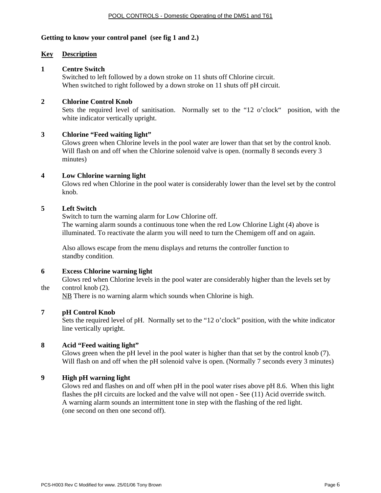#### **Getting to know your control panel (see fig 1 and 2.)**

#### **Key Description**

#### **1 Centre Switch**

 Switched to left followed by a down stroke on 11 shuts off Chlorine circuit. When switched to right followed by a down stroke on 11 shuts off pH circuit.

#### **2 Chlorine Control Knob**

 Sets the required level of sanitisation. Normally set to the "12 o'clock" position, with the white indicator vertically upright.

#### **3 Chlorine "Feed waiting light"**

 Glows green when Chlorine levels in the pool water are lower than that set by the control knob. Will flash on and off when the Chlorine solenoid valve is open. (normally 8 seconds every 3 minutes)

#### **4 Low Chlorine warning light**

 Glows red when Chlorine in the pool water is considerably lower than the level set by the control knob.

#### **5 Left Switch**

 Switch to turn the warning alarm for Low Chlorine off. The warning alarm sounds a continuous tone when the red Low Chlorine Light (4) above is illuminated. To reactivate the alarm you will need to turn the Chemigem off and on again.

Also allows escape from the menu displays and returns the controller function to standby condition.

#### **6 Excess Chlorine warning light**

 Glows red when Chlorine levels in the pool water are considerably higher than the levels set by the control knob (2).

NB There is no warning alarm which sounds when Chlorine is high.

#### **7 pH Control Knob**

 Sets the required level of pH. Normally set to the "12 o'clock" position, with the white indicator line vertically upright.

#### **8 Acid "Feed waiting light"**

 Glows green when the pH level in the pool water is higher than that set by the control knob (7). Will flash on and off when the pH solenoid valve is open. (Normally 7 seconds every 3 minutes)

#### **9 High pH warning light**

 Glows red and flashes on and off when pH in the pool water rises above pH 8.6. When this light flashes the pH circuits are locked and the valve will not open - See (11) Acid override switch. A warning alarm sounds an intermittent tone in step with the flashing of the red light. (one second on then one second off).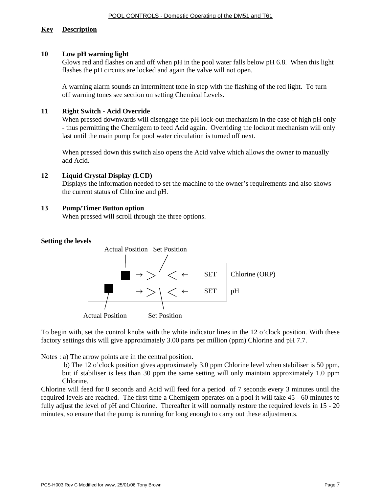#### **Key Description**

#### **10 Low pH warning light**

 Glows red and flashes on and off when pH in the pool water falls below pH 6.8. When this light flashes the pH circuits are locked and again the valve will not open.

 A warning alarm sounds an intermittent tone in step with the flashing of the red light. To turn off warning tones see section on setting Chemical Levels.

#### **11 Right Switch - Acid Override**

When pressed downwards will disengage the pH lock-out mechanism in the case of high pH only - thus permitting the Chemigem to feed Acid again. Overriding the lockout mechanism will only last until the main pump for pool water circulation is turned off next.

When pressed down this switch also opens the Acid valve which allows the owner to manually add Acid.

#### **12 Liquid Crystal Display (LCD)**

Displays the information needed to set the machine to the owner's requirements and also shows the current status of Chlorine and pH.

#### **13 Pump/Timer Button option**

When pressed will scroll through the three options.

#### **Setting the levels**



To begin with, set the control knobs with the white indicator lines in the 12 o'clock position. With these factory settings this will give approximately 3.00 parts per million (ppm) Chlorine and pH 7.7.

Notes : a) The arrow points are in the central position.

 b) The 12 o'clock position gives approximately 3.0 ppm Chlorine level when stabiliser is 50 ppm, but if stabiliser is less than 30 ppm the same setting will only maintain approximately 1.0 ppm Chlorine.

Chlorine will feed for 8 seconds and Acid will feed for a period of 7 seconds every 3 minutes until the required levels are reached. The first time a Chemigem operates on a pool it will take 45 - 60 minutes to fully adjust the level of pH and Chlorine. Thereafter it will normally restore the required levels in 15 - 20 minutes, so ensure that the pump is running for long enough to carry out these adjustments.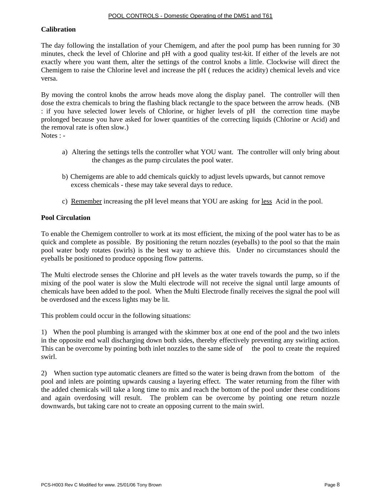#### **Calibration**

The day following the installation of your Chemigem, and after the pool pump has been running for 30 minutes, check the level of Chlorine and pH with a good quality test-kit. If either of the levels are not exactly where you want them, alter the settings of the control knobs a little. Clockwise will direct the Chemigem to raise the Chlorine level and increase the pH ( reduces the acidity) chemical levels and vice versa.

By moving the control knobs the arrow heads move along the display panel. The controller will then dose the extra chemicals to bring the flashing black rectangle to the space between the arrow heads. (NB : if you have selected lower levels of Chlorine, or higher levels of pH the correction time maybe prolonged because you have asked for lower quantities of the correcting liquids (Chlorine or Acid) and the removal rate is often slow.)

Notes : -

- a) Altering the settings tells the controller what YOU want. The controller will only bring about the changes as the pump circulates the pool water.
- b) Chemigems are able to add chemicals quickly to adjust levels upwards, but cannot remove excess chemicals - these may take several days to reduce.
- c) Remember increasing the pH level means that YOU are asking for less Acid in the pool.

#### **Pool Circulation**

To enable the Chemigem controller to work at its most efficient, the mixing of the pool water has to be as quick and complete as possible. By positioning the return nozzles (eyeballs) to the pool so that the main pool water body rotates (swirls) is the best way to achieve this. Under no circumstances should the eyeballs be positioned to produce opposing flow patterns.

The Multi electrode senses the Chlorine and pH levels as the water travels towards the pump, so if the mixing of the pool water is slow the Multi electrode will not receive the signal until large amounts of chemicals have been added to the pool. When the Multi Electrode finally receives the signal the pool will be overdosed and the excess lights may be lit.

This problem could occur in the following situations:

1) When the pool plumbing is arranged with the skimmer box at one end of the pool and the two inlets in the opposite end wall discharging down both sides, thereby effectively preventing any swirling action. This can be overcome by pointing both inlet nozzles to the same side of the pool to create the required swirl.

2) When suction type automatic cleaners are fitted so the water is being drawn from the bottom of the pool and inlets are pointing upwards causing a layering effect. The water returning from the filter with the added chemicals will take a long time to mix and reach the bottom of the pool under these conditions and again overdosing will result. The problem can be overcome by pointing one return nozzle downwards, but taking care not to create an opposing current to the main swirl.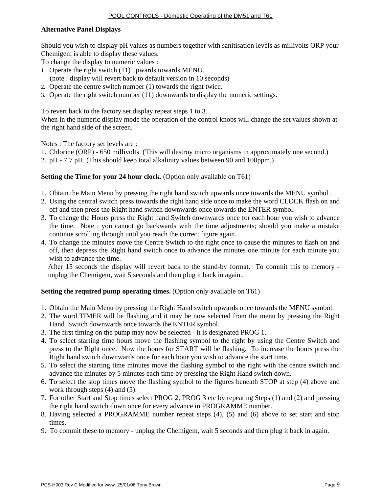#### **Alternative Panel Displays**

Should you wish to display pH values as numbers together with sanitisation levels as millivolts ORP your Chemigem is able to display these values.

To change the display to numeric values :

- 1. Operate the right switch (11) upwards towards MENU.
- (note : display will revert back to default version in 10 seconds)
- 2. Operate the centre switch number (1) towards the right twice.
- 3. Operate the right switch number (11) downwards to display the numeric settings.

To revert back to the factory set display repeat steps 1 to 3.

When in the numeric display mode the operation of the control knobs will change the set values shown at the right hand side of the screen.

Notes : The factory set levels are :

- 1. Chlorine (ORP) 650 millivolts. (This will destroy micro organisms in approximately one second.)
- 2. pH 7.7 pH. (This should keep total alkalinity values between 90 and 100ppm.)

#### **Setting the Time for your 24 hour clock.** (Option only available on T61)

- 1. Obtain the Main Menu by pressing the right hand switch upwards once towards the MENU symbol .
- 2. Using the central switch press towards the right hand side once to make the word CLOCK flash on and off and then press the Right hand switch downwards once towards the ENTER symbol.
- 3. To change the Hours press the Right hand Switch downwards once for each hour you wish to advance the time. Note : you cannot go backwards with the time adjustments; should you make a mistake continue scrolling through until you reach the correct figure again.
- 4. To change the minutes move the Centre Switch to the right once to cause the minutes to flash on and off, then depress the Right hand switch once to advance the minutes one minute for each minute you wish to advance the time.

After 15 seconds the display will revert back to the stand-by format. To commit this to memory unplug the Chemigem, wait 5 seconds and then plug it back in again..

#### **Setting the required pump operating times.** (Option only available on T61)

- 1. Obtain the Main Menu by pressing the Right Hand switch upwards once towards the MENU symbol.
- 2. The word TIMER will be flashing and it may be now selected from the menu by pressing the Right Hand Switch downwards once towards the ENTER symbol.
- 3. The first timing on the pump may now be selected it is designated PROG 1.
- 4. To select starting time hours move the flashing symbol to the right by using the Centre Switch and press to the Right once. Now the hours for START will be flashing. To increase the hours press the Right hand switch downwards once for each hour you wish to advance the start time.
- 5. To select the starting time minutes move the flashing symbol to the right with the centre switch and advance the minutes by 5 minutes each time by pressing the Right Hand switch down.
- 6. To select the stop times move the flashing symbol to the figures beneath STOP at step (4) above and work through steps  $(4)$  and  $(5)$ .
- 7. For other Start and Stop times select PROG 2, PROG 3 etc by repeating Steps (1) and (2) and pressing the right hand switch down once for every advance in PROGRAMME number.
- 8. Having selected a PROGRAMME number repeat steps (4), (5) and (6) above to set start and stop times.
- 9. To commit these to memory unplug the Chemigem, wait 5 seconds and then plug it back in again.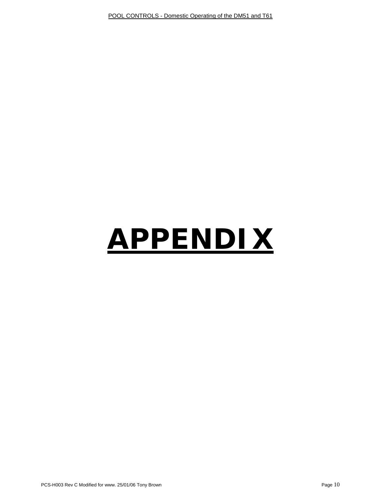# **APPENDIX**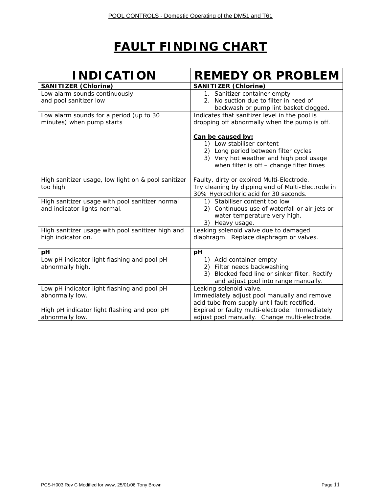## **FAULT FINDING CHART**

| <b>INDICATION</b>                                                               | <b>REMEDY OR PROBLEM</b>                                                                                                                                                      |  |  |  |
|---------------------------------------------------------------------------------|-------------------------------------------------------------------------------------------------------------------------------------------------------------------------------|--|--|--|
| <b>SANITIZER (Chlorine)</b>                                                     | <b>SANITIZER (Chlorine)</b>                                                                                                                                                   |  |  |  |
| Low alarm sounds continuously<br>and pool sanitizer low                         | 1. Sanitizer container empty<br>2. No suction due to filter in need of<br>backwash or pump lint basket clogged.                                                               |  |  |  |
| Low alarm sounds for a period (up to 30<br>minutes) when pump starts            | Indicates that sanitizer level in the pool is<br>dropping off abnormally when the pump is off.                                                                                |  |  |  |
|                                                                                 | Can be caused by:<br>1) Low stabiliser content<br>2) Long period between filter cycles<br>3) Very hot weather and high pool usage<br>when filter is off - change filter times |  |  |  |
| High sanitizer usage, low light on & pool sanitizer<br>too high                 | Faulty, dirty or expired Multi-Electrode.<br>Try cleaning by dipping end of Multi-Electrode in<br>30% Hydrochloric acid for 30 seconds.                                       |  |  |  |
| High sanitizer usage with pool sanitizer normal<br>and indicator lights normal. | 1) Stabiliser content too low<br>2) Continuous use of waterfall or air jets or<br>water temperature very high.<br>3) Heavy usage.                                             |  |  |  |
| High sanitizer usage with pool sanitizer high and<br>high indicator on.         | Leaking solenoid valve due to damaged<br>diaphragm. Replace diaphragm or valves.                                                                                              |  |  |  |
| рH                                                                              | pH                                                                                                                                                                            |  |  |  |
| Low pH indicator light flashing and pool pH<br>abnormally high.                 | 1) Acid container empty<br>2) Filter needs backwashing<br>3) Blocked feed line or sinker filter. Rectify<br>and adjust pool into range manually.                              |  |  |  |
| Low pH indicator light flashing and pool pH<br>abnormally low.                  | Leaking solenoid valve.<br>Immediately adjust pool manually and remove<br>acid tube from supply until fault rectified.                                                        |  |  |  |
| High pH indicator light flashing and pool pH<br>abnormally low.                 | Expired or faulty multi-electrode. Immediately<br>adjust pool manually. Change multi-electrode.                                                                               |  |  |  |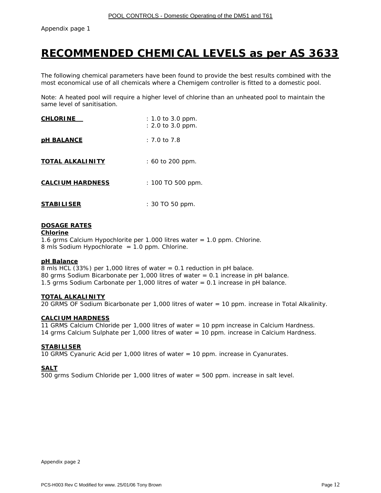Appendix page 1

### **RECOMMENDED CHEMICAL LEVELS as per AS 3633**

The following chemical parameters have been found to provide the best results combined with the most economical use of all chemicals where a Chemigem controller is fitted to a domestic pool.

Note: A heated pool will require a higher level of chlorine than an unheated pool to maintain the same level of sanitisation.

| <u>CHLORINE</u>         | $: 1.0$ to 3.0 ppm.<br>$: 2.0$ to 3.0 ppm. |
|-------------------------|--------------------------------------------|
| <b>DH BALANCE</b>       | $: 7.0$ to 7.8                             |
| <b>TOTAL ALKALINITY</b> | $: 60 \text{ to } 200 \text{ ppm}.$        |
| <b>CALCIUM HARDNESS</b> | : 100 TO 500 ppm.                          |
| <b>STABILISER</b>       | $: 30$ TO 50 ppm.                          |

#### **DOSAGE RATES**

**Chlorine**

1.6 grms Calcium Hypochlorite per 1.000 litres water = 1.0 ppm. Chlorine. 8 mls Sodium Hypochlorate = 1.0 ppm. Chlorine.

#### **pH Balance**

8 mls HCL (33%) per 1,000 litres of water = 0.1 reduction in pH balace. 80 grms Sodium Bicarbonate per 1,000 litres of water = 0.1 increase in pH balance. 1.5 grms Sodium Carbonate per 1,000 litres of water = 0.1 increase in pH balance.

#### **TOTAL ALKALINITY**

20 GRMS OF Sodium Bicarbonate per 1,000 litres of water = 10 ppm. increase in Total Alkalinity.

#### **CALCIUM HARDNESS**

11 GRMS Calcium Chloride per 1,000 litres of water = 10 ppm increase in Calcium Hardness. 14 grms Calcium Sulphate per 1,000 litres of water = 10 ppm. increase in Calcium Hardness.

#### **STABILISER**

10 GRMS Cyanuric Acid per 1,000 litres of water = 10 ppm. increase in Cyanurates.

#### **SALT**

500 grms Sodium Chloride per 1,000 litres of water = 500 ppm. increase in salt level.